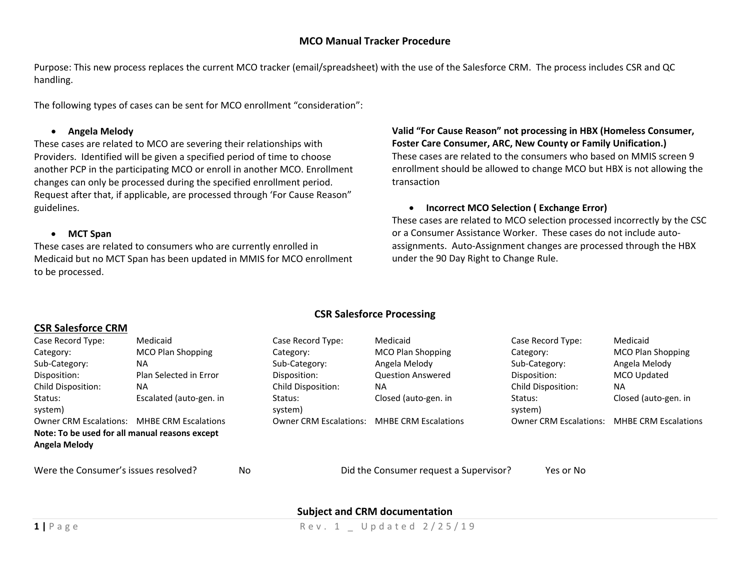## **MCO Manual Tracker Procedure**

Purpose: This new process replaces the current MCO tracker (email/spreadsheet) with the use of the Salesforce CRM. The process includes CSR and QC handling.

The following types of cases can be sent for MCO enrollment "consideration":

### **Angela Melody**

These cases are related to MCO are severing their relationships with Providers. Identified will be given <sup>a</sup> specified period of time to choose another PCP in the participating MCO or enroll in another MCO. Enrollment changes can only be processed during the specified enrollment period. Request after that, if applicable, are processed through 'For Cause Reason" guidelines.

### **MCT Span**

These cases are related to consumers who are currently enrolled in Medicaid but no MCT Span has been updated in MMIS for MCO enrollment to be processed.

**Valid "For Cause Reason" not processing in HBX (Homeless Consumer, Foster Care Consumer, ARC, New County or Family Unification.)** These cases are related to the consumers who based on MMIS screen 9 enrollment should be allowed to change MCO but HBX is not allowing the transaction

**Incorrect MCO Selection ( Exchange Error)**

These cases are related to MCO selection processed incorrectly by the CSC or a Consumer Assistance Worker. These cases do not include auto‐ assignments. Auto‐Assignment changes are processed through the HBX under the 90 Day Right to Change Rule.

## **CSR Salesforce Processing**

# **CSR Salesforce CRM**

| Case Record Type:                              | Medicaid                    | Case Record Type:             | Medicaid                    | Case Record Type:             | Medicaid                    |
|------------------------------------------------|-----------------------------|-------------------------------|-----------------------------|-------------------------------|-----------------------------|
| Category:                                      | MCO Plan Shopping           | Category:                     | MCO Plan Shopping           | Category:                     | MCO Plan Shopping           |
| Sub-Category:                                  | <b>NA</b>                   | Sub-Category:                 | Angela Melody               | Sub-Category:                 | Angela Melody               |
| Disposition:                                   | Plan Selected in Error      | Disposition:                  | <b>Question Answered</b>    | Disposition:                  | MCO Updated                 |
| Child Disposition:                             | <b>NA</b>                   | Child Disposition:            | <b>NA</b>                   | Child Disposition:            | <b>NA</b>                   |
| Status:<br>system)                             | Escalated (auto-gen. in     | Status:<br>system)            | Closed (auto-gen. in        | Status:<br>system)            | Closed (auto-gen. in        |
| <b>Owner CRM Escalations:</b>                  | <b>MHBE CRM Escalations</b> | <b>Owner CRM Escalations:</b> | <b>MHBE CRM Escalations</b> | <b>Owner CRM Escalations:</b> | <b>MHBE CRM Escalations</b> |
| Note: To be used for all manual reasons except |                             |                               |                             |                               |                             |
| Angela Melody                                  |                             |                               |                             |                               |                             |
|                                                |                             |                               |                             |                               |                             |

Were the Consumer's issues resolved? No

Did the Consumer request <sup>a</sup> Supervisor? Yes or No

## **Subject and CRM documentation**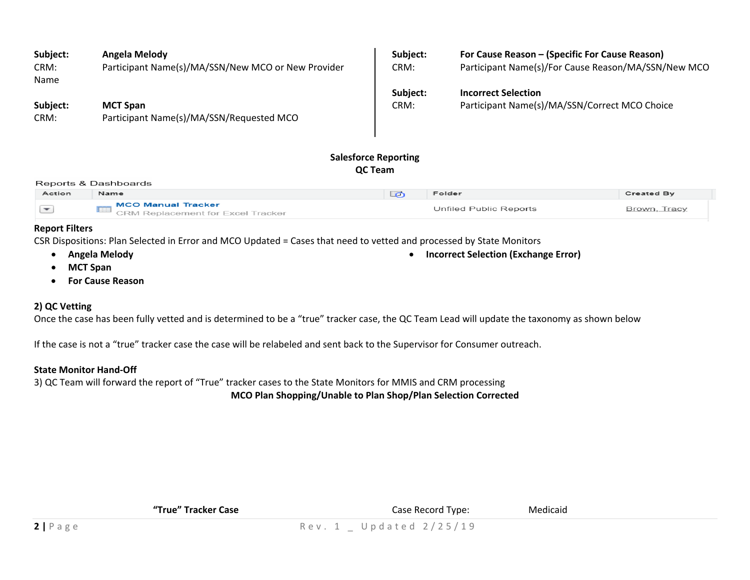| Subject:<br>CRM:<br>Name | Angela Melody<br>Participant Name(s)/MA/SSN/New MCO or New Provider | Subject:<br>CRM: | For Cause Reason - (Specific For Cause Reason)<br>Participant Name(s)/For Cause Reason/MA/SSN/New MCO |
|--------------------------|---------------------------------------------------------------------|------------------|-------------------------------------------------------------------------------------------------------|
| Subject:                 | <b>MCT Span</b>                                                     | Subject:         | <b>Incorrect Selection</b>                                                                            |
| CRM:                     | Participant Name(s)/MA/SSN/Requested MCO                            | CRM:             | Participant Name(s)/MA/SSN/Correct MCO Choice                                                         |

# **Salesforce Reporting QC Team**

#### Reports & Dashboards

| Action | Name                                                      | Folder                 | <b>Created By</b> |
|--------|-----------------------------------------------------------|------------------------|-------------------|
|        | _ MCO Manual Tracker<br>CRM Replacement for Excel Tracker | Unfiled Public Reports | Brown, Tracy      |

**Incorrect Selection (Exchange Error)**

### **Report Filters**

CSR Dispositions: Plan Selected in Error and MCO Updated <sup>=</sup> Cases that need to vetted and processed by State Monitors

- **Angela Melody**
- **MCT Span**
- **For Cause Reason**

# **2) QC Vetting**

Once the case has been fully vetted and is determined to be <sup>a</sup> "true" tracker case, the QC Team Lead will update the taxonomy as shown below

If the case is not <sup>a</sup> "true" tracker case the case will be relabeled and sent back to the Supervisor for Consumer outreach.

## **State Monitor Hand‐Off**

3) QC Team will forward the report of "True" tracker cases to the State Monitors for MMIS and CRM processing **MCO Plan Shopping/Unable to Plan Shop/Plan Selection Corrected**

| "True" Tracker Case | Case Record Type:           | Medicaid |  |
|---------------------|-----------------------------|----------|--|
|                     | Rev. 1 $\_$ Updated 2/25/19 |          |  |